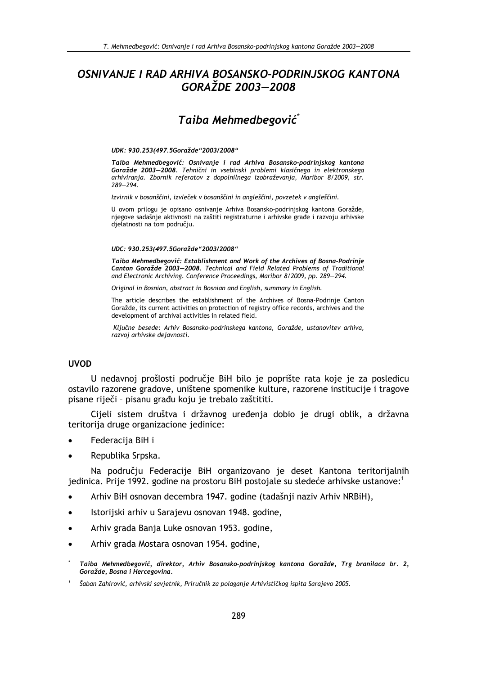# OSNIVANJE I RAD ARHIVA BOSANSKO-PODRINJSKOG KANTONA GORAŽDE 2003-2008

# Taiba Mehmedbegović\*

#### UDK: 930.253(497.5Goražde"2003/2008"

Taiba Mehmedbegović: Osnivanie i rad Arhiva Bosansko-podriniskog kantona Goražde 2003-2008. Tehnični in vsebinski problemi klasičnega in elektronskega arhiviranja. Zbornik referatov z dopolnilnega izobraževanja, Maribor 8/2009, str.  $289 - 294.$ 

Izvirnik v bosanščini, izvleček v bosanščini in angleščini, povzetek v angleščini.

U ovom prilogu je opisano osnivanje Arhiva Bosansko-podriniskog kantona Goražde, njegove sadašnje aktivnosti na zaštiti registraturne i arhivske građe i razvoju arhivske djelatnosti na tom području.

#### UDC: 930.253(497.5Goražde"2003/2008"

Taiba Mehmedbegović: Establishment and Work of the Archives of Bosna-Podrinie Canton Goražde 2003-2008. Technical and Field Related Problems of Traditional and Electronic Archiving. Conference Proceedings, Maribor 8/2009, pp. 289-294.

Original in Bosnian, abstract in Bosnian and English, summary in English.

The article describes the establishment of the Archives of Bosna-Podrinje Canton Goražde, its current activities on protection of registry office records, archives and the development of archival activities in related field.

Ključne besede: Arhiv Bosansko-podrinskega kantona, Goražde, ustanovitev arhiva, razvoj arhivske dejavnosti.

#### **UVOD**

U nedavnoj prošlosti područje BiH bilo je poprište rata koje je za posledicu ostavilo razorene gradove, uništene spomenike kulture, razorene institucije i tragove pisane riječi - pisanu građu koju je trebalo zaštititi.

Cijeli sistem društva i državnog uređenja dobio je drugi oblik, a državna teritorija druge organizacione jedinice:

- Federacija BiH i
- Republika Srpska.

Na području Federacije BiH organizovano je deset Kantona teritorijalnih jedinica. Prije 1992. godine na prostoru BiH postojale su sledeće arhivske ustanove:

- Arhiv BiH osnovan decembra 1947. godine (tadašnji naziv Arhiv NRBiH),
- Istorijski arhiv u Sarajevu osnovan 1948. godine,
- Arhiv grada Banja Luke osnovan 1953. godine,
- Arhiv grada Mostara osnovan 1954. godine,

Taiba Mehmedbegović, direktor, Arhiv Bosansko-podrinjskog kantona Goražde, Trg branilaca br. 2, Goražde, Bosna i Hercegovina.

Šaban Zahirović, arhivski savjetnik, Priručnik za polaganje Arhivističkog ispita Sarajevo 2005.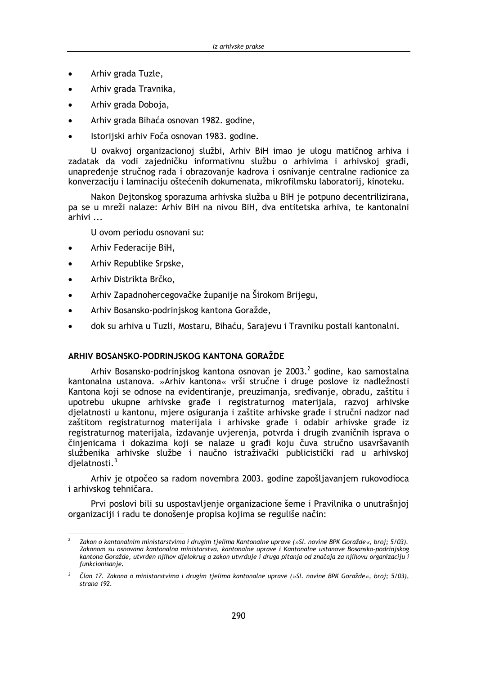- Arhiv grada Tuzle,
- Arhiv grada Travnika.
- Arhiv grada Doboja,  $\blacksquare$
- Arhiv grada Bihaća osnovan 1982. godine,
- Istorijski arhiv Foča osnovan 1983. godine.

U ovakvoj organizacionoj službi, Arhiv BiH imao je ulogu matičnog arhiva i zadatak da vodi zajedničku informativnu službu o arhivima i arhivskoj građi, unapređenje stručnog rada i obrazovanje kadrova i osnivanje centralne radionice za konverzaciju i laminaciju oštećenih dokumenata, mikrofilmsku laboratorij, kinoteku.

Nakon Dejtonskog sporazuma arhivska služba u BiH je potpuno decentrilizirana, pa se u mreži nalaze: Arhiv BiH na nivou BiH, dva entitetska arhiva, te kantonalni arhivi ...

U ovom periodu osnovani su:

- Arhiv Federacije BiH,
- Arhiv Republike Srpske,
- Arhiv Distrikta Brčko,
- Arhiv Zapadnohercegovačke županije na Širokom Brijegu,
- Arhiv Bosansko-podrinjskog kantona Goražde,
- dok su arhiva u Tuzli, Mostaru, Bihaću, Sarajevu i Travniku postali kantonalni.

## ARHIV BOSANSKO-PODRINJSKOG KANTONA GORAŽDE

Arhiv Bosansko-podrinjskog kantona osnovan je 2003.<sup>2</sup> godine, kao samostalna kantonalna ustanova. »Arhiv kantona« vrši stručne i druge poslove iz nadležnosti Kantona koji se odnose na evidentiranje, preuzimanja, sređivanje, obradu, zaštitu i upotrebu ukupne arhivske građe i registraturnog materijala, razvoj arhivske djelatnosti u kantonu, mjere osiguranja i zaštite arhivske građe i stručni nadzor nad zaštitom registraturnog materijala i arhivske građe i odabir arhivske građe iz registraturnog materijala, izdavanje uvjerenja, potvrda i drugih zvaničnih isprava o činjenicama i dokazima koji se nalaze u građi koju čuva stručno usavršavanih službenika arhivske službe i naučno istraživački publicistički rad u arhivskoj djelatnosti.<sup>3</sup>

Arhiv je otpočeo sa radom novembra 2003. godine zapošljavanjem rukovodioca i arhivskog tehničara.

Prvi poslovi bili su uspostavljenje organizacione šeme i Pravilnika o unutrašnjoj organizaciji i radu te donošenie propisa kojima se reguliše način:

Zakon o kantonalnim ministarstvima i drugim tjelima Kantonalne uprave (»Sl. novine BPK Goražde«, broj; 5/03). Zakonom su osnovana kantonalna ministarstva, kantonalne uprave i Kantonalne ustanove Bosansko-podrinjskog kantona Goražde, utvrđen njihov djelokrug a zakon utvrđuje i druga pitanja od značaja za njihovu organizaciju i funkcionisanje.

Član 17. Zakona o ministarstvima i drugim tjelima kantonalne uprave (»Sl. novine BPK Goražde«, broj; 5/03), strana 192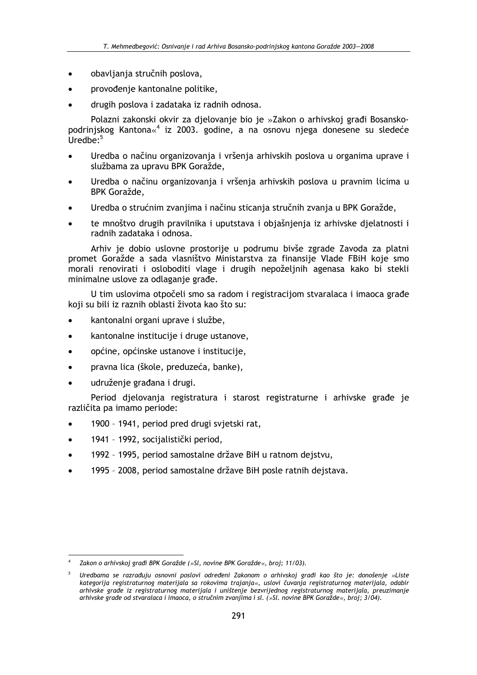- obavljanja stručnih poslova,
- provođenje kantonalne politike,
- drugih poslova i zadataka iz radnih odnosa.

Polazni zakonski okvir za djelovanje bio je »Zakon o arhivskoj građi Bosanskopodrinjskog Kantona«<sup>4</sup> iz 2003. godine, a na osnovu njega donesene su sledeće Uredbe<sup>.5</sup>

- Uredba o načinu organizovanja i vršenja arhivskih poslova u organima uprave i službama za upravu BPK Goražde,
- Uredba o načinu organizovanja i vršenja arhivskih poslova u pravnim licima u BPK Goražde,
- Uredba o strućnim zvanjima i načinu sticanja stručnih zvanja u BPK Goražde,
- te mnoštvo drugih pravilnika i uputstava i objašnjenja iz arhivske djelatnosti i radnih zadataka i odnosa.

Arhiv je dobio uslovne prostorije u podrumu bivše zgrade Zavoda za platni promet Goražde a sada vlasništvo Ministarstva za finansije Vlade FBiH koje smo morali renovirati i osloboditi vlage i drugih nepoželjnih agenasa kako bi stekli minimalne uslove za odlaganje građe.

U tim uslovima otpočeli smo sa radom i registracijom stvaralaca i imaoca građe koji su bili iz raznih oblasti života kao što su:

- kantonalni organi uprave i službe,
- kantonalne institucije i druge ustanove,
- općine, općinske ustanove i institucije,
- pravna lica (škole, preduzeća, banke),
- udruženje građana i drugi.

Period djelovanja registratura i starost registraturne i arhivske građe je različita pa imamo periode:

- 1900 1941, period pred drugi svjetski rat,
- 1941 1992, socijalistički period,  $\bullet$
- 1992 1995, period samostalne države BiH u ratnom dejstvu,
- 1995 2008, period samostalne države BiH posle ratnih dejstava.

Zakon o arhivskoj građi BPK Goražde (»Sl, novine BPK Goražde«, broj; 11/03).

Uredbama se razrađuju osnovni poslovi određeni Zakonom o arhivskoj gradi kao što je: donošenje »Liste kategorija registraturnog materijala sa rokovima trajanja«, uslovi čuvanja registraturnog materijala, odabir arhivske grade iz registraturnog materijala i uništenje bezvrijednog registraturnog materijala, preuzimanje arhivske građe od stvaralaca i imaoca, o stručnim zvanjima i sl. (»Sl. novine BPK Goražde«, broj; 3/04).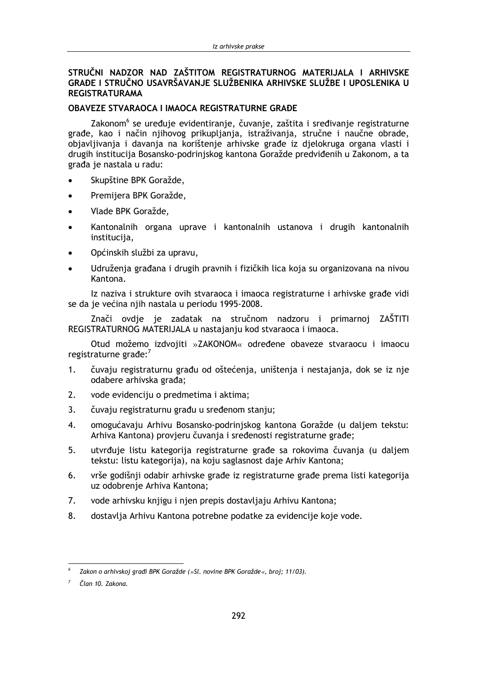#### STRUČNI NADZOR NAD ZAŠTITOM REGISTRATURNOG MATERIJALA I ARHIVSKE GRAĐE I STRUČNO USAVRŠAVANJE SLUŽBENIKA ARHIVSKE SLUŽBE I UPOSLENIKA U **REGISTRATURAMA**

## **OBAVEZE STVARAOCA I IMAOCA REGISTRATURNE GRADE**

Zakonom<sup>6</sup> se uređuje evidentiranje, čuvanje, zaštita i sređivanje registraturne građe, kao i način njihovog prikupljanja, istraživanja, stručne i naučne obrade, objavljivanja i davanja na korištenje arhivske građe iz djelokruga organa vlasti i drugih institucija Bosansko-podrinjskog kantona Goražde predviđenih u Zakonom, a ta građa je nastala u radu:

- Skupštine BPK Goražde,
- Premijera BPK Goražde,  $\bullet$
- Vlade BPK Goražde,
- Kantonalnih organa uprave i kantonalnih ustanova i drugih kantonalnih institucija,
- Općinskih službi za upravu,
- Udruženja građana i drugih pravnih i fizičkih lica koja su organizovana na nivou Kantona.

Iz naziva i strukture ovih stvaraoca i imaoca registraturne i arhivske građe vidi se da je većina njih nastala u periodu 1995-2008.

Znači ovdje je zadatak na stručnom nadzoru i primarnoj ZAŠTITI REGISTRATURNOG MATERIJALA u nastajanju kod stvaraoca i imaoca.

Otud možemo izdvojiti »ZAKONOM« određene obaveze stvaraocu i imaocu registraturne grade:7

- $1<sub>1</sub>$ čuvaju registraturnu građu od oštećenja, uništenja i nestajanja, dok se iz nje odabere arhivska građa;
- $2.$ vode evidenciju o predmetima i aktima;
- $\overline{3}$ . čuvaju registraturnu građu u sređenom stanju;
- 4. omogućavaju Arhivu Bosansko-podrinjskog kantona Goražde (u daljem tekstu: Arhiva Kantona) provjeru čuvanja i sređenosti registraturne građe;
- utvrđuje listu kategorija registraturne građe sa rokovima čuvanja (u daljem  $5<sub>1</sub>$ tekstu: listu kategorija), na koju saglasnost daje Arhiv Kantona;
- vrše godišnji odabir arhivske građe iz registraturne građe prema listi kategorija  $6<sub>1</sub>$ uz odobrenje Arhiva Kantona;
- vode arhivsku knjigu i njen prepis dostavljaju Arhivu Kantona; 7.
- $\mathsf{R}$ dostavlja Arhivu Kantona potrebne podatke za evidencije koje vode.

Zakon o arhivskoj građi BPK Goražde (»Sl. novine BPK Goražde«, broj; 11/03).

Član 10. Zakona.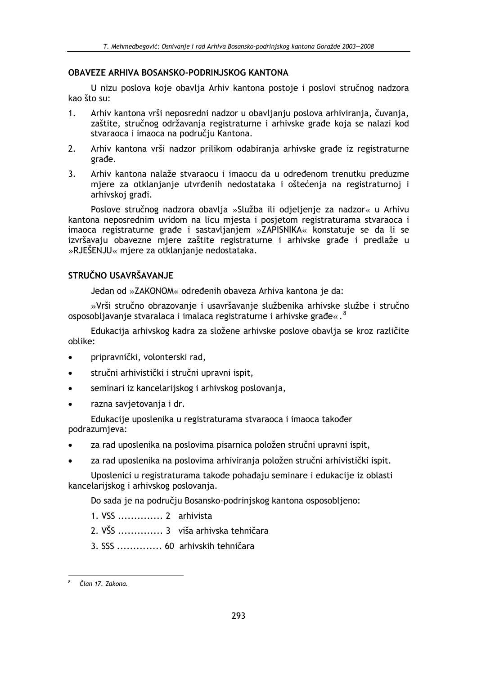#### **OBAVEZE ARHIVA BOSANSKO-PODRINJSKOG KANTONA**

U nizu poslova koje obavlja Arhiv kantona postoje i poslovi stručnog nadzora kao što su:

- Arhiv kantona vrši neposredni nadzor u obavljanju poslova arhiviranja, čuvanja,  $1<sup>1</sup>$ zaštite, stručnog održavanja registraturne i arhivske građe koja se nalazi kod stvaraoca i imaoca na području Kantona.
- $2.$ Arhiv kantona vrši nadzor prilikom odabiranja arhivske građe iz registraturne građe.
- $3.$ Arhiv kantona nalaže stvaraocu i imaocu da u određenom trenutku preduzme mjere za otklanjanje utvrđenih nedostataka i oštećenja na registraturnoj i arhivskoj građi.

Poslove stručnog nadzora obavlja »Služba ili odjeljenje za nadzor« u Arhivu kantona neposrednim uvidom na licu miesta i posietom registraturama stvaraoca i imaoca registraturne građe i sastavljanjem »ZAPISNIKA« konstatuje se da li se izvršavaju obavezne mjere zaštite registraturne i arhivske građe i predlaže u »RJEŠENJU« miere za otklanianie nedostataka.

## STRUČNO USAVRŠAVANJE

Jedan od »ZAKONOM« određenih obaveza Arhiva kantona je da:

»Vrši stručno obrazovanje i usavršavanje službenika arhivske službe i stručno osposobljavanje stvaralaca i imalaca registraturne i arhivske građe«.

Edukacija arhivskog kadra za složene arhivske poslove obavlja se kroz različite oblike:

- pripravnički, volonterski rad,
- stručni arhivistički i stručni upravni ispit,  $\bullet$
- seminari iz kancelarijskog i arhivskog poslovanja,
- razna savietovania i dr.

Edukacije uposlenika u registraturama stvaraoca i imaoca također podrazumieva:

- za rad uposlenika na poslovima pisarnica položen stručni upravni ispit,
- za rad uposlenika na poslovima arhiviranja položen stručni arhivistički ispit.

Uposlenici u registraturama takođe pohađaju seminare i edukacije iz oblasti kancelarijskog i arhivskog poslovanja.

Do sada je na području Bosansko-podrinjskog kantona osposobljeno:

- 2. VŠS .............. 3 viša arhivska tehničara
- 3. SSS .............. 60 arhivskih tehničara

Član 17. Zakona.